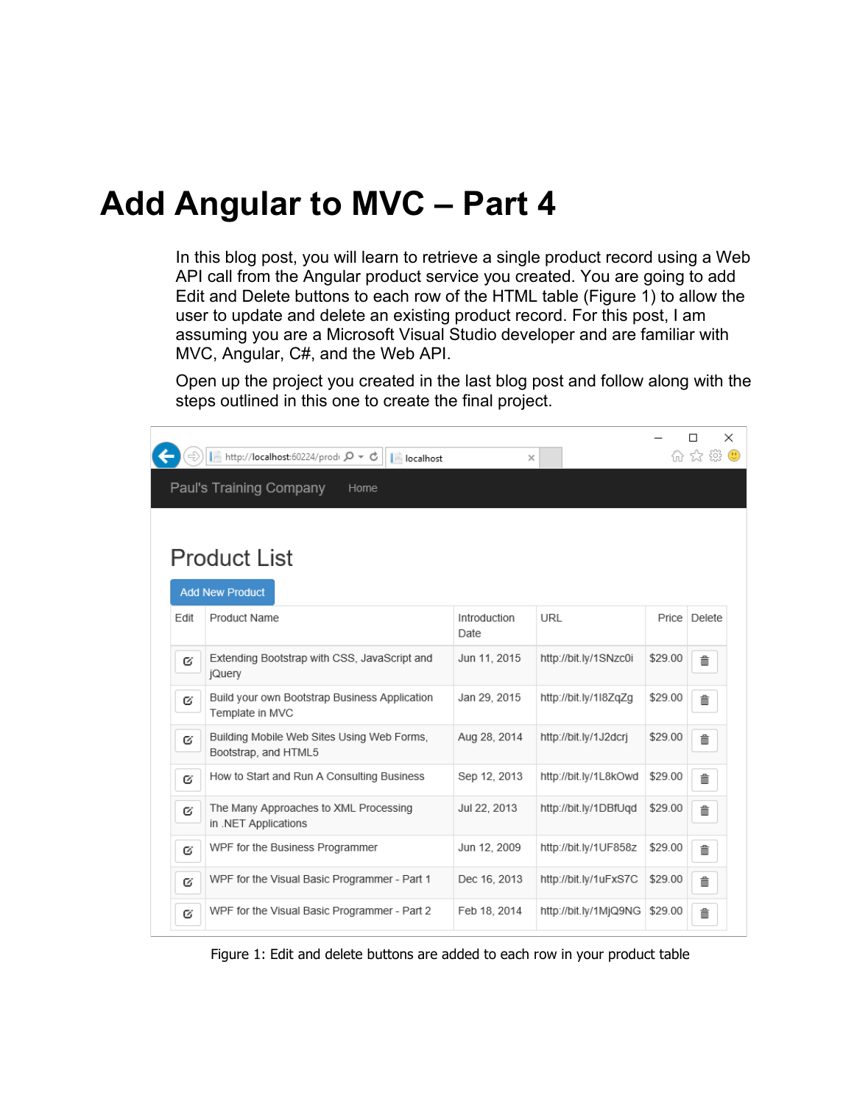### **Add Angular to MVC – Part 4**

In this blog post, you will learn to retrieve a single product record using a Web API call from the Angular product service you created. You are going to add Edit and Delete buttons to each row of the HTML table [\(Figure 1\)](#page-0-0) to allow the user to update and delete an existing product record. For this post, I am assuming you are a Microsoft Visual Studio developer and are familiar with MVC, Angular, C#, and the Web API.

Open up the project you created in the last blog post and follow along with the steps outlined in this one to create the final project.

<span id="page-0-0"></span>

Figure 1: Edit and delete buttons are added to each row in your product table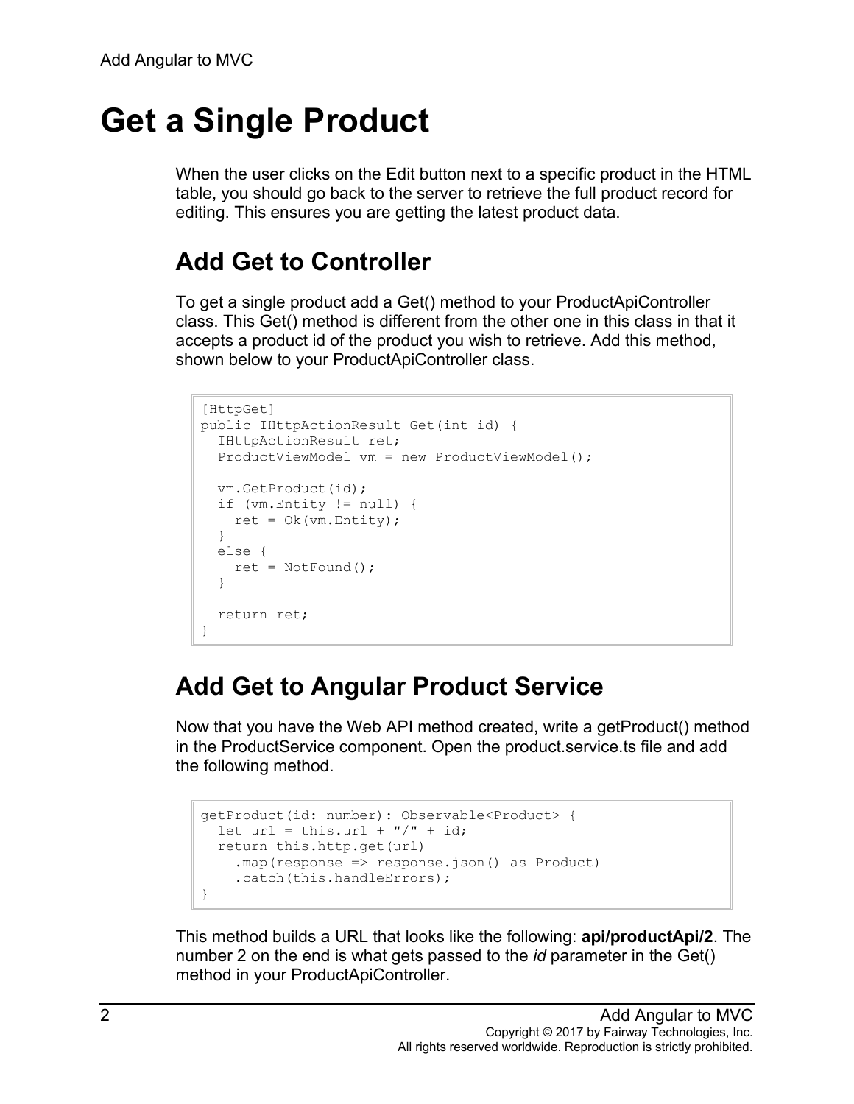## **Get a Single Product**

When the user clicks on the Edit button next to a specific product in the HTML table, you should go back to the server to retrieve the full product record for editing. This ensures you are getting the latest product data.

#### **Add Get to Controller**

To get a single product add a Get() method to your ProductApiController class. This Get() method is different from the other one in this class in that it accepts a product id of the product you wish to retrieve. Add this method, shown below to your ProductApiController class.

```
[HttpGet]
public IHttpActionResult Get(int id) {
  IHttpActionResult ret;
  ProductViewModel vm = new ProductViewModel();
  vm.GetProduct(id);
  if (vm.Entity != null) {
   ret = Ok(rm.Entity); }
  else {
   ret = NotFound();
   }
  return ret;
}
```
#### **Add Get to Angular Product Service**

Now that you have the Web API method created, write a getProduct() method in the ProductService component. Open the product.service.ts file and add the following method.

```
getProduct(id: number): Observable<Product> {
 let url = this.url + \sqrt{''} + id;
  return this.http.get(url)
     .map(response => response.json() as Product)
    .catch(this.handleErrors);
}
```
This method builds a URL that looks like the following: **api/productApi/2**. The number 2 on the end is what gets passed to the *id* parameter in the Get() method in your ProductApiController.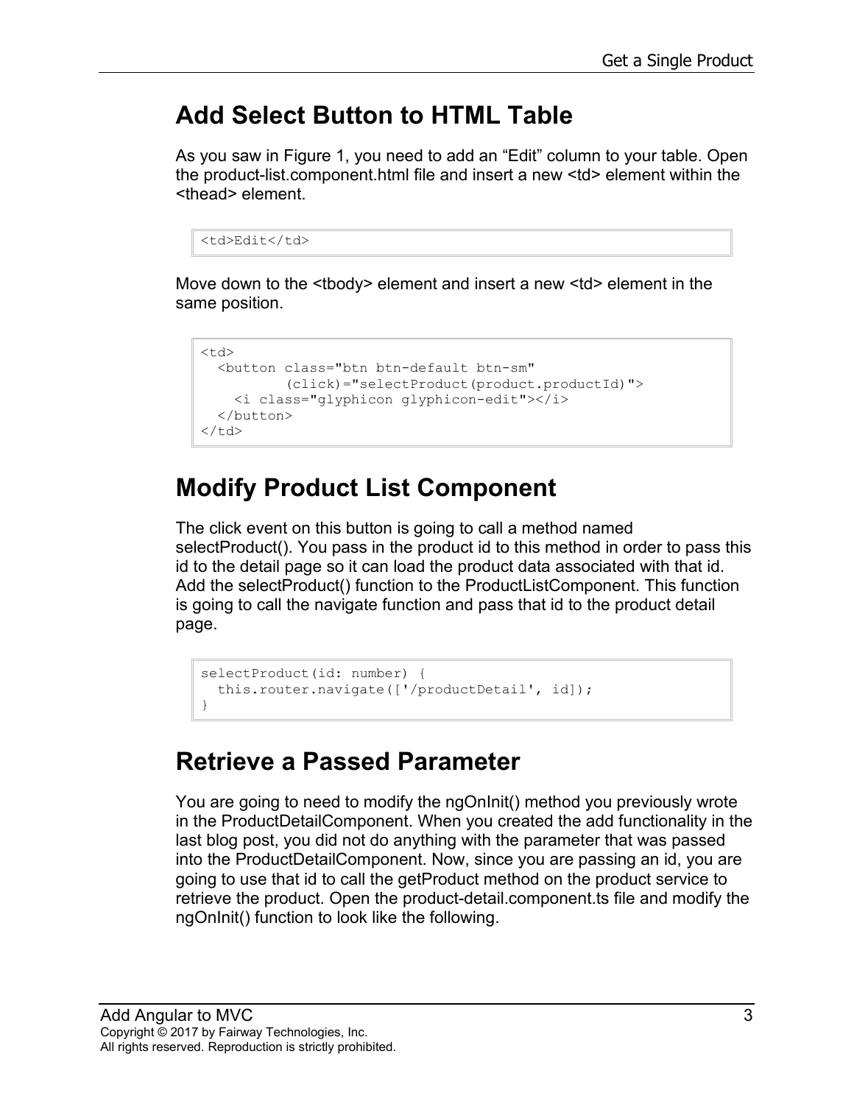#### **Add Select Button to HTML Table**

As you saw in [Figure 1,](#page-0-0) you need to add an "Edit" column to your table. Open the product-list.component.html file and insert a new <td> element within the <thead> element.

```
<td>Edit</td>
```
Move down to the <tbody> element and insert a new <td> element in the same position.

```
<td>
  <button class="btn btn-default btn-sm"
          (click)="selectProduct(product.productId)">
     <i class="glyphicon glyphicon-edit"></i>
   </button>
\langle t \rangle
```
### **Modify Product List Component**

The click event on this button is going to call a method named selectProduct(). You pass in the product id to this method in order to pass this id to the detail page so it can load the product data associated with that id. Add the selectProduct() function to the ProductListComponent. This function is going to call the navigate function and pass that id to the product detail page.

```
selectProduct(id: number) {
  this.router.navigate(['/productDetail', id]);
}
```
### **Retrieve a Passed Parameter**

You are going to need to modify the ngOnInit() method you previously wrote in the ProductDetailComponent. When you created the add functionality in the last blog post, you did not do anything with the parameter that was passed into the ProductDetailComponent. Now, since you are passing an id, you are going to use that id to call the getProduct method on the product service to retrieve the product. Open the product-detail.component.ts file and modify the ngOnInit() function to look like the following.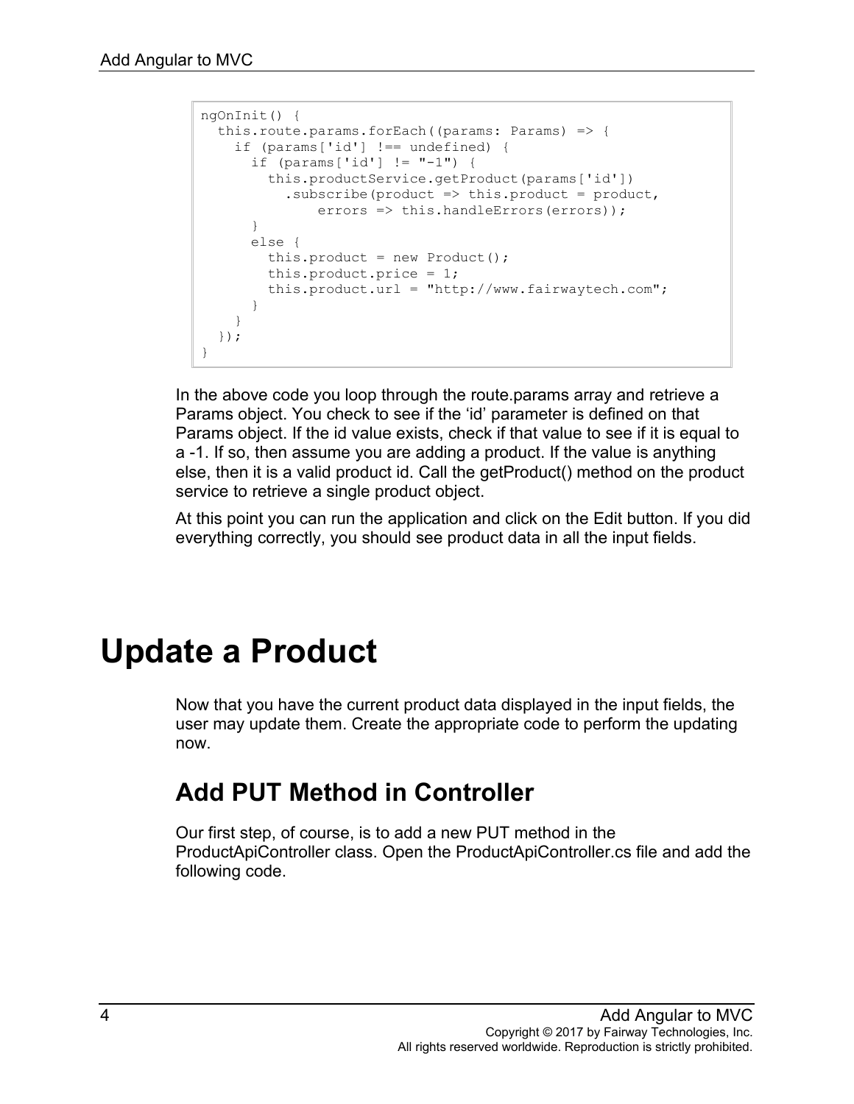```
ngOnInit() {
  this.route.params.forEach((params: Params) => {
     if (params['id'] !== undefined) {
      if (params['id'] != "-1") {
         this.productService.getProduct(params['id'])
          .subscribe(product \Rightarrow this.product = product,
              errors => this.handleErrors(errors));
       }
       else {
        this.product = new Product();
         this.product.price = 1;
         this.product.url = "http://www.fairwaytech.com";
       }
     }
   });
}
```
In the above code you loop through the route.params array and retrieve a Params object. You check to see if the 'id' parameter is defined on that Params object. If the id value exists, check if that value to see if it is equal to a -1. If so, then assume you are adding a product. If the value is anything else, then it is a valid product id. Call the getProduct() method on the product service to retrieve a single product object.

At this point you can run the application and click on the Edit button. If you did everything correctly, you should see product data in all the input fields.

# **Update a Product**

Now that you have the current product data displayed in the input fields, the user may update them. Create the appropriate code to perform the updating now.

#### **Add PUT Method in Controller**

Our first step, of course, is to add a new PUT method in the ProductApiController class. Open the ProductApiController.cs file and add the following code.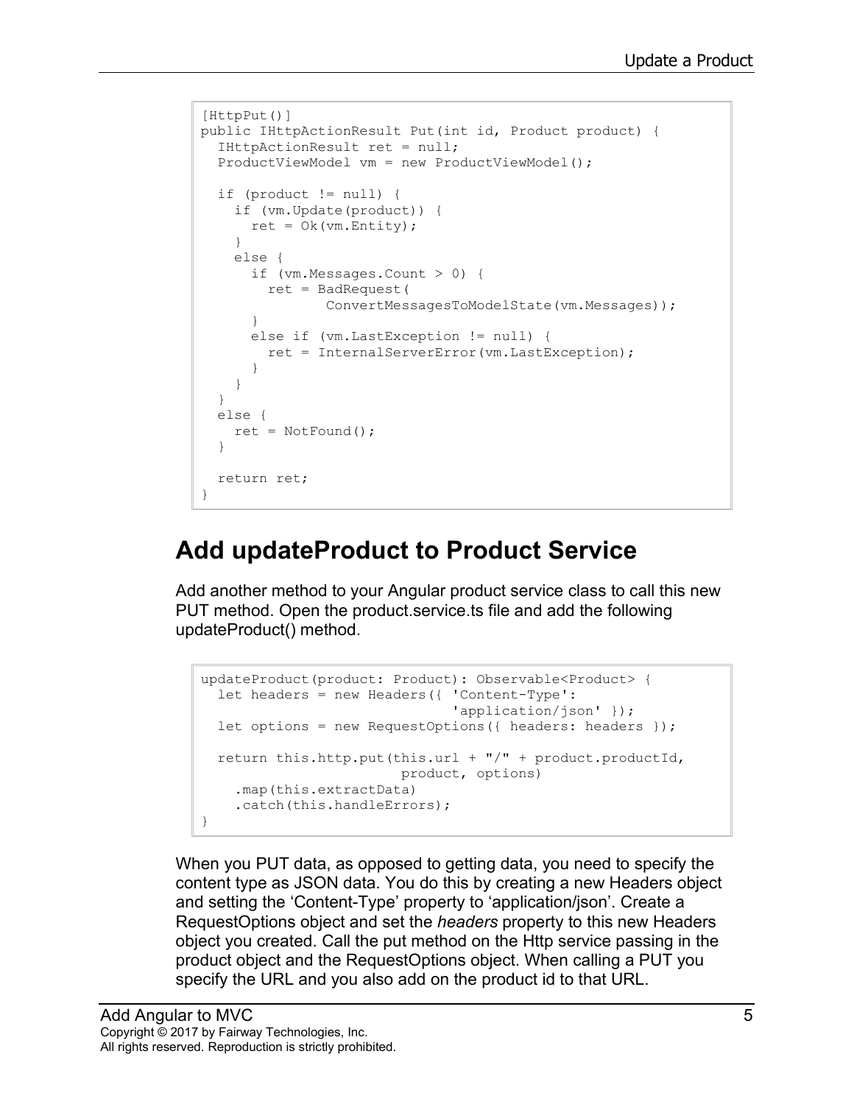```
[HttpPut()]
public IHttpActionResult Put(int id, Product product) {
  IHttpActionResult ret = null;
   ProductViewModel vm = new ProductViewModel();
  if (product != null) {
     if (vm.Update(product)) {
     ret = Ok(rm.Entity); }
     else {
       if (vm.Messages.Count > 0) {
       ret = BadRequest(
               ConvertMessagesToModelState(vm.Messages));
       }
       else if (vm.LastException != null) {
        ret = InternalServerError(vm.LastException);
       }
     }
   }
  else {
   ret = NotFound();
   }
  return ret;
}
```
#### **Add updateProduct to Product Service**

Add another method to your Angular product service class to call this new PUT method. Open the product.service.ts file and add the following updateProduct() method.

```
updateProduct(product: Product): Observable<Product> {
  let headers = new Headers({ 'Content-Type': 
                                'application/json' });
  let options = new RequestOptions({ headers: headers });
  return this.http.put(this.url + "/" + product.productId,
                          product, options)
     .map(this.extractData)
    .catch(this.handleErrors);
}
```
When you PUT data, as opposed to getting data, you need to specify the content type as JSON data. You do this by creating a new Headers object and setting the 'Content-Type' property to 'application/json'. Create a RequestOptions object and set the *headers* property to this new Headers object you created. Call the put method on the Http service passing in the product object and the RequestOptions object. When calling a PUT you specify the URL and you also add on the product id to that URL.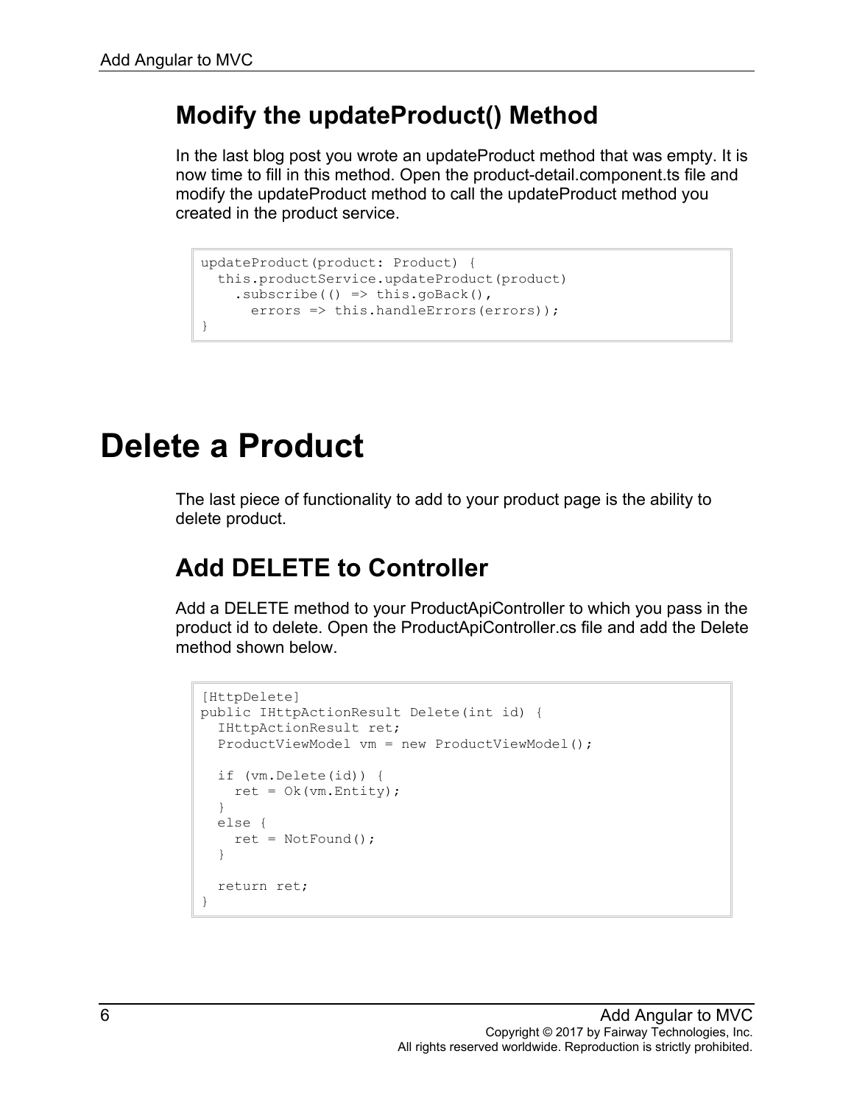#### **Modify the updateProduct() Method**

In the last blog post you wrote an updateProduct method that was empty. It is now time to fill in this method. Open the product-detail.component.ts file and modify the updateProduct method to call the updateProduct method you created in the product service.

```
updateProduct(product: Product) {
  this.productService.updateProduct(product)
   .subscribe(() \Rightarrow this.goBack(),
     errors => this.handleErrors(errors));
}
```
# **Delete a Product**

The last piece of functionality to add to your product page is the ability to delete product.

#### **Add DELETE to Controller**

Add a DELETE method to your ProductApiController to which you pass in the product id to delete. Open the ProductApiController.cs file and add the Delete method shown below.

```
[HttpDelete]
public IHttpActionResult Delete(int id) {
   IHttpActionResult ret;
   ProductViewModel vm = new ProductViewModel();
   if (vm.Delete(id)) {
    ret = Ok(rm.Entity); }
   else {
    ret = NotFound();
   }
   return ret;
}
```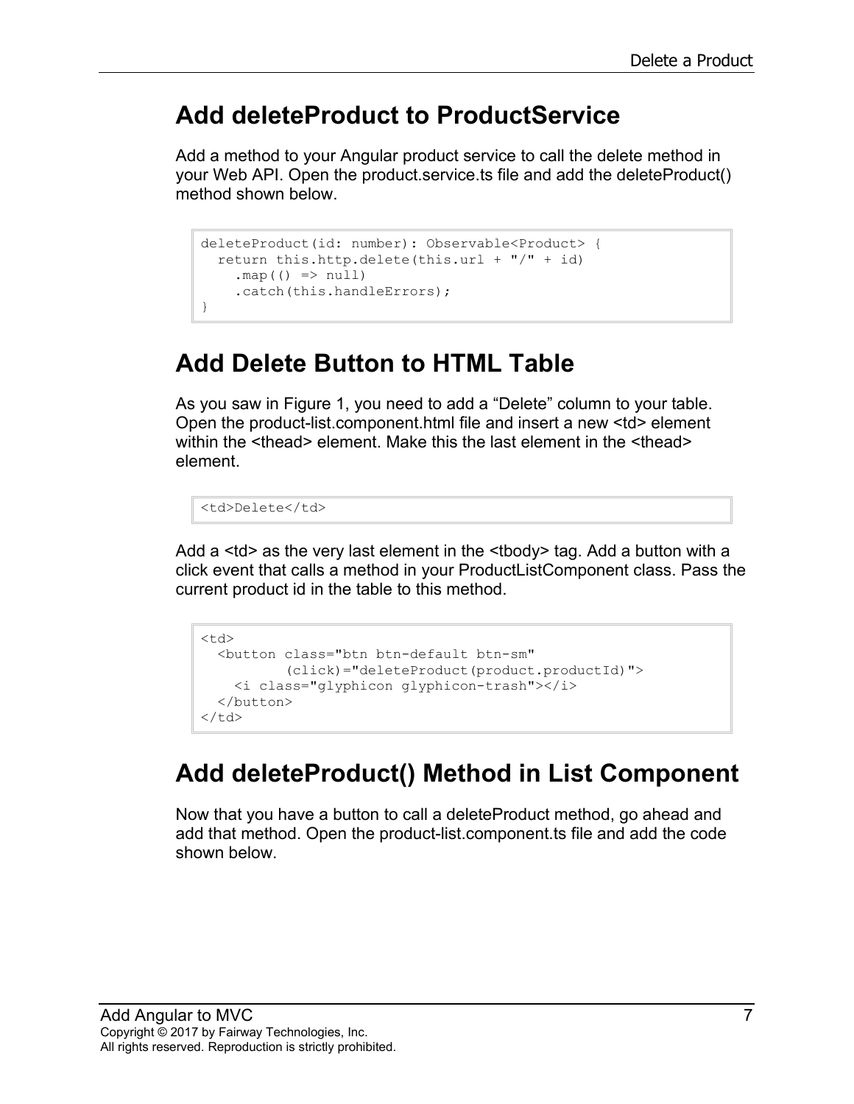#### **Add deleteProduct to ProductService**

Add a method to your Angular product service to call the delete method in your Web API. Open the product.service.ts file and add the deleteProduct() method shown below.

```
deleteProduct(id: number): Observable<Product> {
 return this.http.delete(this.url + ''/'' + id)
   .map(() => null) .catch(this.handleErrors);
}
```
#### **Add Delete Button to HTML Table**

As you saw in [Figure 1,](#page-0-0) you need to add a "Delete" column to your table. Open the product-list.component.html file and insert a new <td> element within the <thead> element. Make this the last element in the <thead> element.

<td>Delete</td>

Add a <td> as the very last element in the <tbody> tag. Add a button with a click event that calls a method in your ProductListComponent class. Pass the current product id in the table to this method.

```
<hd>
   <button class="btn btn-default btn-sm"
            (click)="deleteProduct(product.productId)">
     <i class="glyphicon glyphicon-trash"></i>
   </button>
\langle t.d \rangle
```
#### **Add deleteProduct() Method in List Component**

Now that you have a button to call a deleteProduct method, go ahead and add that method. Open the product-list.component.ts file and add the code shown below.